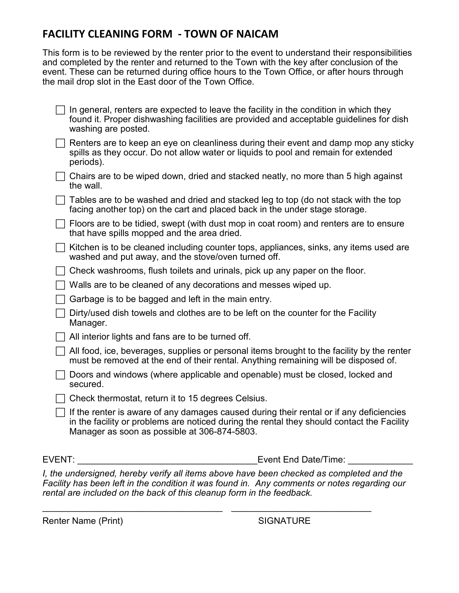## **FACILITY CLEANING FORM - TOWN OF NAICAM**

This form is to be reviewed by the renter prior to the event to understand their responsibilities and completed by the renter and returned to the Town with the key after conclusion of the event. These can be returned during office hours to the Town Office, or after hours through the mail drop slot in the East door of the Town Office.

|               | In general, renters are expected to leave the facility in the condition in which they<br>found it. Proper dishwashing facilities are provided and acceptable guidelines for dish<br>washing are posted.                               |
|---------------|---------------------------------------------------------------------------------------------------------------------------------------------------------------------------------------------------------------------------------------|
|               | Renters are to keep an eye on cleanliness during their event and damp mop any sticky<br>spills as they occur. Do not allow water or liquids to pool and remain for extended<br>periods).                                              |
|               | Chairs are to be wiped down, dried and stacked neatly, no more than 5 high against<br>the wall.                                                                                                                                       |
|               | Tables are to be washed and dried and stacked leg to top (do not stack with the top<br>facing another top) on the cart and placed back in the under stage storage.                                                                    |
|               | Floors are to be tidied, swept (with dust mop in coat room) and renters are to ensure<br>that have spills mopped and the area dried.                                                                                                  |
|               | Kitchen is to be cleaned including counter tops, appliances, sinks, any items used are<br>washed and put away, and the stove/oven turned off.                                                                                         |
|               | Check washrooms, flush toilets and urinals, pick up any paper on the floor.                                                                                                                                                           |
|               | Walls are to be cleaned of any decorations and messes wiped up.                                                                                                                                                                       |
|               | Garbage is to be bagged and left in the main entry.                                                                                                                                                                                   |
|               | Dirty/used dish towels and clothes are to be left on the counter for the Facility<br>Manager.                                                                                                                                         |
|               | All interior lights and fans are to be turned off.                                                                                                                                                                                    |
|               | All food, ice, beverages, supplies or personal items brought to the facility by the renter<br>must be removed at the end of their rental. Anything remaining will be disposed of.                                                     |
|               | Doors and windows (where applicable and openable) must be closed, locked and<br>secured.                                                                                                                                              |
|               | Check thermostat, return it to 15 degrees Celsius.                                                                                                                                                                                    |
|               | If the renter is aware of any damages caused during their rental or if any deficiencies<br>in the facility or problems are noticed during the rental they should contact the Facility<br>Manager as soon as possible at 306-874-5803. |
| <b>EVENT:</b> | <b>Event End Date/Time:</b>                                                                                                                                                                                                           |

*I, the undersigned, hereby verify all items above have been checked as completed and the Facility has been left in the condition it was found in. Any comments or notes regarding our rental are included on the back of this cleanup form in the feedback.*

\_\_\_\_\_\_\_\_\_\_\_\_\_\_\_\_\_\_\_\_\_\_\_\_\_\_\_\_\_\_\_\_\_\_\_\_ \_\_\_\_\_\_\_\_\_\_\_\_\_\_\_\_\_\_\_\_\_\_\_\_\_\_\_\_

Renter Name (Print) SIGNATURE